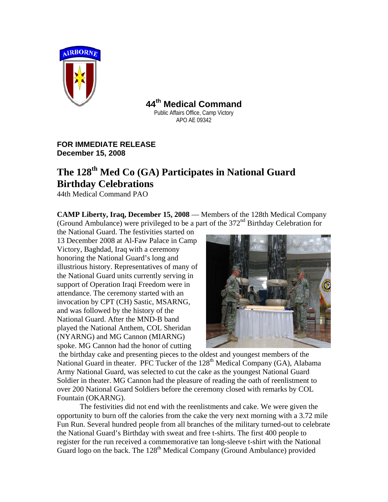

**44th Medical Command**

Public Affairs Office, Camp Victory APO AE 09342

**FOR IMMEDIATE RELEASE December 15, 2008**

## **The 128th Med Co (GA) Participates in National Guard Birthday Celebrations**

44th Medical Command PAO

**CAMP Liberty, Iraq, December 15, 2008** — Members of the 128th Medical Company (Ground Ambulance) were privileged to be a part of the 372nd Birthday Celebration for

the National Guard. The festivities started on 13 December 2008 at Al-Faw Palace in Camp Victory, Baghdad, Iraq with a ceremony honoring the National Guard's long and illustrious history. Representatives of many of the National Guard units currently serving in support of Operation Iraqi Freedom were in attendance. The ceremony started with an invocation by CPT (CH) Sastic, MSARNG, and was followed by the history of the National Guard. After the MND-B band played the National Anthem, COL Sheridan (NYARNG) and MG Cannon (MIARNG) spoke. MG Cannon had the honor of cutting



the birthday cake and presenting pieces to the oldest and youngest members of the National Guard in theater. PFC Tucker of the  $128<sup>th</sup>$  Medical Company (GA), Alabama Army National Guard, was selected to cut the cake as the youngest National Guard Soldier in theater. MG Cannon had the pleasure of reading the oath of reenlistment to over 200 National Guard Soldiers before the ceremony closed with remarks by COL Fountain (OKARNG).

The festivities did not end with the reenlistments and cake. We were given the opportunity to burn off the calories from the cake the very next morning with a 3.72 mile Fun Run. Several hundred people from all branches of the military turned-out to celebrate the National Guard's Birthday with sweat and free t-shirts. The first 400 people to register for the run received a commemorative tan long-sleeve t-shirt with the National Guard logo on the back. The  $128<sup>th</sup>$  Medical Company (Ground Ambulance) provided